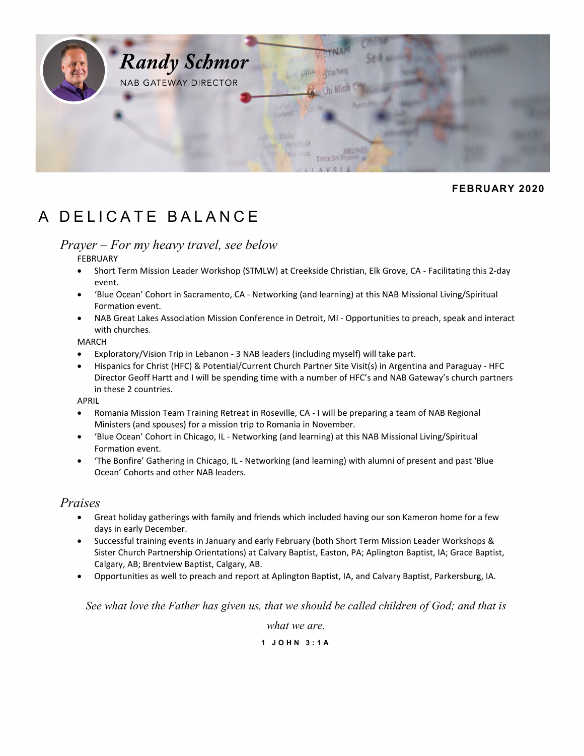

## **FEBRUARY 2020**

# A DELICATE BALANCE

# *Prayer – For my heavy travel, see below*

FEBRUARY

- Short Term Mission Leader Workshop (STMLW) at Creekside Christian, Elk Grove, CA Facilitating this 2-day event.
- 'Blue Ocean' Cohort in Sacramento, CA Networking (and learning) at this NAB Missional Living/Spiritual Formation event.
- NAB Great Lakes Association Mission Conference in Detroit, MI Opportunities to preach, speak and interact with churches.

MARCH

- Exploratory/Vision Trip in Lebanon 3 NAB leaders (including myself) will take part.
- Hispanics for Christ (HFC) & Potential/Current Church Partner Site Visit(s) in Argentina and Paraguay HFC Director Geoff Hartt and I will be spending time with a number of HFC's and NAB Gateway's church partners in these 2 countries.

APRIL

- Romania Mission Team Training Retreat in Roseville, CA I will be preparing a team of NAB Regional Ministers (and spouses) for a mission trip to Romania in November.
- 'Blue Ocean' Cohort in Chicago, IL Networking (and learning) at this NAB Missional Living/Spiritual Formation event.
- 'The Bonfire' Gathering in Chicago, IL Networking (and learning) with alumni of present and past 'Blue Ocean' Cohorts and other NAB leaders.

## *Praises*

- Great holiday gatherings with family and friends which included having our son Kameron home for a few days in early December.
- Successful training events in January and early February (both Short Term Mission Leader Workshops & Sister Church Partnership Orientations) at Calvary Baptist, Easton, PA; Aplington Baptist, IA; Grace Baptist, Calgary, AB; Brentview Baptist, Calgary, AB.
- Opportunities as well to preach and report at Aplington Baptist, IA, and Calvary Baptist, Parkersburg, IA.

See what love the Father has given us, that we should be called children of God; and that is

*what we are.*

#### **1 JOHN 3:1A**